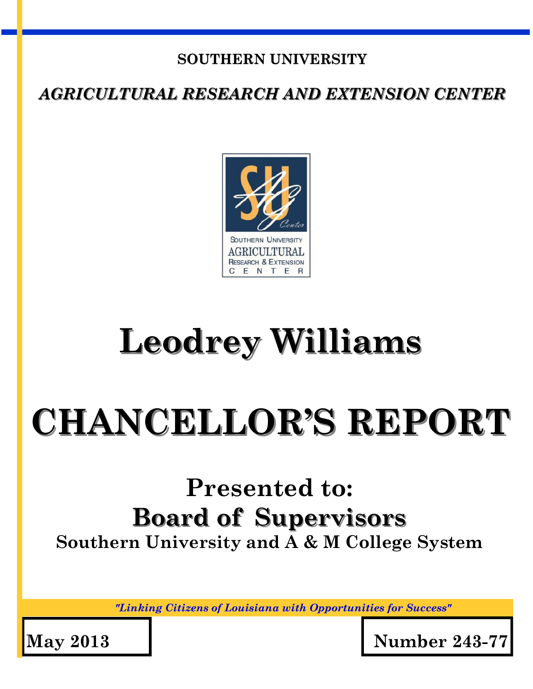#### **SOUTHERN UNIVERSITY**

*AGRICULTURAL RESEARCH AND EXTENSION CENTER*



## **Leodrey Williams**

# **CHANCELLOR'S REPORT**

## **Presented to: Board of Supervisors Southern University and A & M College System**

*"Linking Citizens of Louisiana with Opportunities for Success"*

**May 2013 Number 243-77**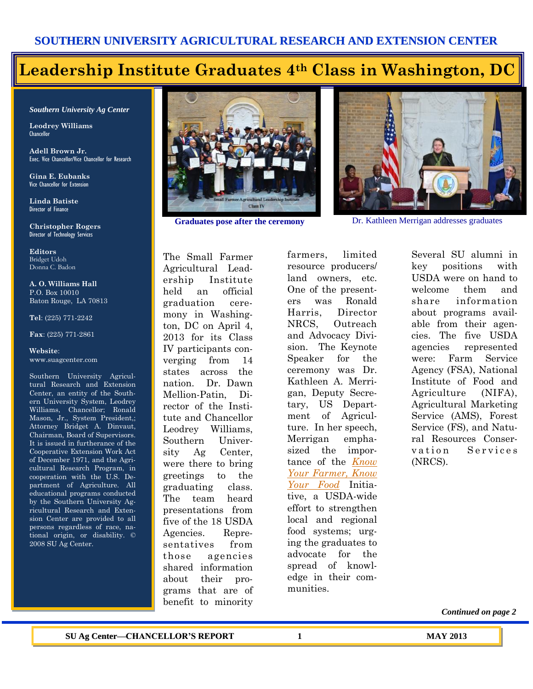## **Leadership Institute Graduates 4th Class in Washington, DC**

*Southern University Ag Center*

**Leodrey Williams**  Chancellor

**Adell Brown Jr.**  Exec. Vice Chancellor/Vice Chancellor for Research

**Gina E. Eubanks** Vice Chancellor for Extension

**Linda Batiste** Director of Finance

**Christopher Rogers** Director of Technology Services

**Editors** Bridget Udoh Donna C. Badon

**A. O. Williams Hall** P.O. Box 10010 Baton Rouge, LA 70813

**Tel**: (225) 771-2242

**Fax**: (225) 771-2861

**Website**: www.suagcenter.com

Southern University Agricultural Research and Extension Center, an entity of the Southern University System, Leodrey Williams, Chancellor; Ronald Mason, Jr., System President,; Attorney Bridget A. Dinvaut, Chairman, Board of Supervisors. It is issued in furtherance of the Cooperative Extension Work Act of December 1971, and the Agricultural Research Program, in cooperation with the U.S. Department of Agriculture. All educational programs conducted by the Southern University Agricultural Research and Extension Center are provided to all persons regardless of race, national origin, or disability. © 2008 SU Ag Center.



The Small Farmer Agricultural Leadership Institute held an official graduation ceremony in Washington, DC on April 4, 2013 for its Class IV participants converging from 14 states across the nation. Dr. Dawn Mellion-Patin, Director of the Institute and Chancellor Leodrey Williams, Southern University Ag Center, were there to bring greetings to the graduating class. The team heard presentations from five of the 18 USDA Agencies. Representatives from those agencies shared information about their programs that are of benefit to minority

farmers, limited resource producers/ land owners, etc. One of the presenters was Ronald Harris, Director NRCS, Outreach and Advocacy Division. The Keynote Speaker for the ceremony was Dr. Kathleen A. Merrigan, Deputy Secretary, US Department of Agriculture. In her speech, Merrigan emphasized the importance of the *[Know](http://www.usda.gov/wps/portal/usda/usdahome?navid=KNOWYOURFARMER)  [Your Farmer, Know](http://www.usda.gov/wps/portal/usda/usdahome?navid=KNOWYOURFARMER)  [Your Food](http://www.usda.gov/wps/portal/usda/usdahome?navid=KNOWYOURFARMER)* Initiative, a USDA-wide effort to strengthen local and regional food systems; urging the graduates to advocate for the spread of knowledge in their communities.



**Graduates pose after the ceremony** Dr. Kathleen Merrigan addresses graduates

Several SU alumni in key positions with USDA were on hand to welcome them and share information about programs available from their agencies. The five USDA agencies represented were: Farm Service Agency (FSA), National Institute of Food and Agriculture (NIFA), Agricultural Marketing Service (AMS), Forest Service (FS), and Natural Resources Conservation Services (NRCS).

*Continued on page 2*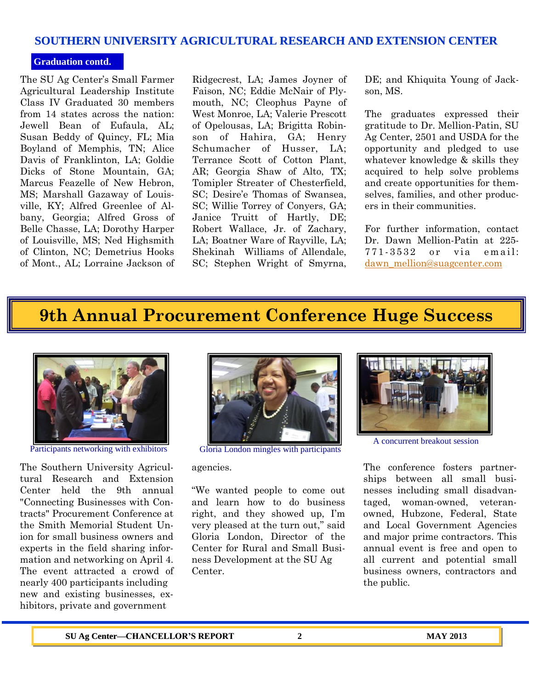#### **SOUTHERN UNIVERSITY AGRICULTURAL RESEARCH AND EXTENSION CENTER**

#### **Graduation contd.**

The SU Ag Center's Small Farmer Agricultural Leadership Institute Class IV Graduated 30 members from 14 states across the nation: Jewell Bean of Eufaula, AL; Susan Beddy of Quincy, FL; Mia Boyland of Memphis, TN; Alice Davis of Franklinton, LA; Goldie Dicks of Stone Mountain, GA; Marcus Feazelle of New Hebron, MS; Marshall Gazaway of Louisville, KY; Alfred Greenlee of Albany, Georgia; Alfred Gross of Belle Chasse, LA; Dorothy Harper of Louisville, MS; Ned Highsmith of Clinton, NC; Demetrius Hooks of Mont., AL; Lorraine Jackson of Ridgecrest, LA; James Joyner of Faison, NC; Eddie McNair of Plymouth, NC; Cleophus Payne of West Monroe, LA; Valerie Prescott of Opelousas, LA; Brigitta Robinson of Hahira, GA; Henry Schumacher of Husser, LA; Terrance Scott of Cotton Plant, AR; Georgia Shaw of Alto, TX; Tomipler Streater of Chesterfield, SC; Desire'e Thomas of Swansea, SC; Willie Torrey of Conyers, GA; Janice Truitt of Hartly, DE; Robert Wallace, Jr. of Zachary, LA; Boatner Ware of Rayville, LA; Shekinah Williams of Allendale, SC; Stephen Wright of Smyrna, DE; and Khiquita Young of Jackson, MS.

The graduates expressed their gratitude to Dr. Mellion-Patin, SU Ag Center, 2501 and USDA for the opportunity and pledged to use whatever knowledge & skills they acquired to help solve problems and create opportunities for themselves, families, and other producers in their communities.

For further information, contact Dr. Dawn Mellion-Patin at 225- 771-3532 or via email: [dawn\\_mellion@suagcenter.com](mailto:dawn_mellion@suagcenter.com)

## **9th Annual Procurement Conference Huge Success**



The Southern University Agricultural Research and Extension Center held the 9th annual "Connecting Businesses with Contracts" Procurement Conference at the Smith Memorial Student Union for small business owners and experts in the field sharing information and networking on April 4. The event attracted a crowd of nearly 400 participants including new and existing businesses, exhibitors, private and government



Participants networking with exhibitors Gloria London mingles with participants

agencies.

"We wanted people to come out and learn how to do business right, and they showed up, I'm very pleased at the turn out," said Gloria London, Director of the Center for Rural and Small Business Development at the SU Ag Center.



A concurrent breakout session

The conference fosters partnerships between all small businesses including small disadvantaged, woman-owned, veteranowned, Hubzone, Federal, State and Local Government Agencies and major prime contractors. This annual event is free and open to all current and potential small business owners, contractors and the public.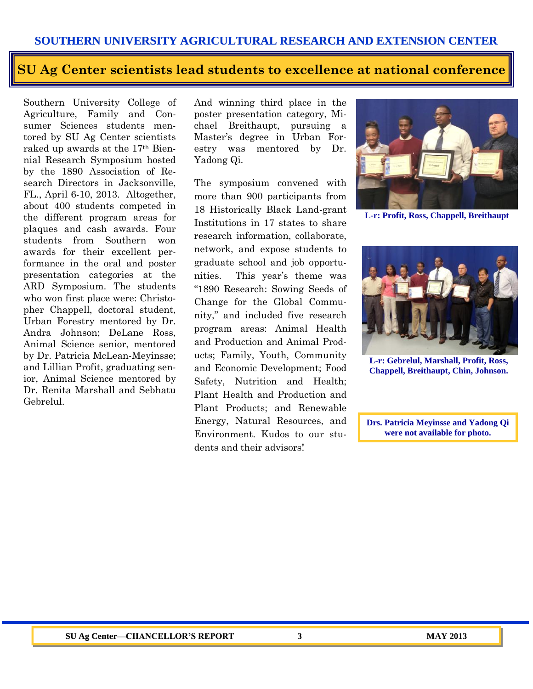#### **SOUTHERN UNIVERSITY AGRICULTURAL RESEARCH AND EXTENSION CENTER**

## **SU Ag Center scientists lead students to excellence at national conference**

Southern University College of Agriculture, Family and Consumer Sciences students mentored by SU Ag Center scientists raked up awards at the 17th Biennial Research Symposium hosted by the 1890 Association of Research Directors in Jacksonville, FL., April 6-10, 2013. Altogether, about 400 students competed in the different program areas for plaques and cash awards. Four students from Southern won awards for their excellent performance in the oral and poster presentation categories at the ARD Symposium. The students who won first place were: Christopher Chappell, doctoral student, Urban Forestry mentored by Dr. Andra Johnson; DeLane Ross, Animal Science senior, mentored by Dr. Patricia McLean-Meyinsse; and Lillian Profit, graduating senior, Animal Science mentored by Dr. Renita Marshall and Sebhatu Gebrelul.

And winning third place in the poster presentation category, Michael Breithaupt, pursuing a Master's degree in Urban Forestry was mentored by Dr. Yadong Qi.

The symposium convened with more than 900 participants from 18 Historically Black Land-grant Institutions in 17 states to share research information, collaborate, network, and expose students to graduate school and job opportunities. This year's theme was "1890 Research: Sowing Seeds of Change for the Global Community," and included five research program areas: Animal Health and Production and Animal Products; Family, Youth, Community and Economic Development; Food Safety, Nutrition and Health; Plant Health and Production and Plant Products; and Renewable Energy, Natural Resources, and Environment. Kudos to our students and their advisors!



**L-r: Profit, Ross, Chappell, Breithaupt**



**L-r: Gebrelul, Marshall, Profit, Ross, Chappell, Breithaupt, Chin, Johnson.**

**Drs. Patricia Meyinsse and Yadong Qi were not available for photo.**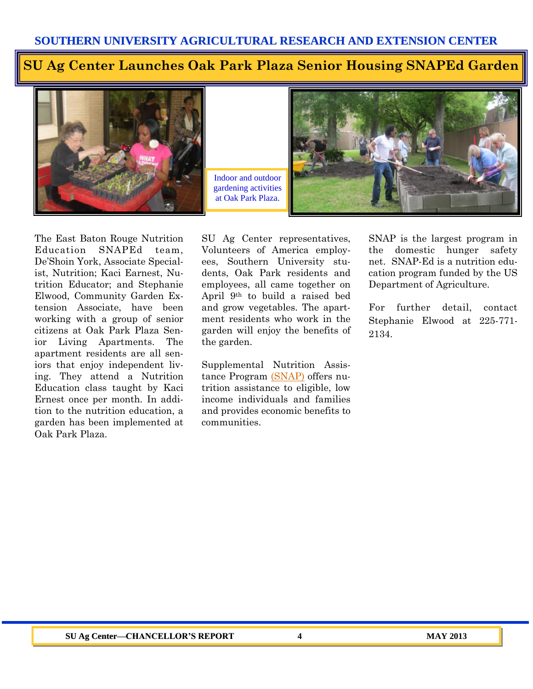#### **SU Ag Center Launches Oak Park Plaza Senior Housing SNAPEd Garden**



Indoor and outdoor gardening activities at Oak Park Plaza.



The East Baton Rouge Nutrition Education SNAPEd team, De'Shoin York, Associate Specialist, Nutrition; Kaci Earnest, Nutrition Educator; and Stephanie Elwood, Community Garden Extension Associate, have been working with a group of senior citizens at Oak Park Plaza Senior Living Apartments. The apartment residents are all seniors that enjoy independent living. They attend a Nutrition Education class taught by Kaci Ernest once per month. In addition to the nutrition education, a garden has been implemented at Oak Park Plaza.

SU Ag Center representatives, Volunteers of America employees, Southern University students, Oak Park residents and employees, all came together on April 9th to build a raised bed and grow vegetables. The apartment residents who work in the garden will enjoy the benefits of the garden.

Supplemental Nutrition Assistance Program [\(SNAP\)](http://www.fns.usda.gov/snap) offers nutrition assistance to eligible, low income individuals and families and provides economic benefits to communities.

SNAP is the largest program in the domestic hunger safety net. SNAP-Ed is a nutrition education program funded by the US Department of Agriculture.

For further detail, contact Stephanie Elwood at 225-771- 2134.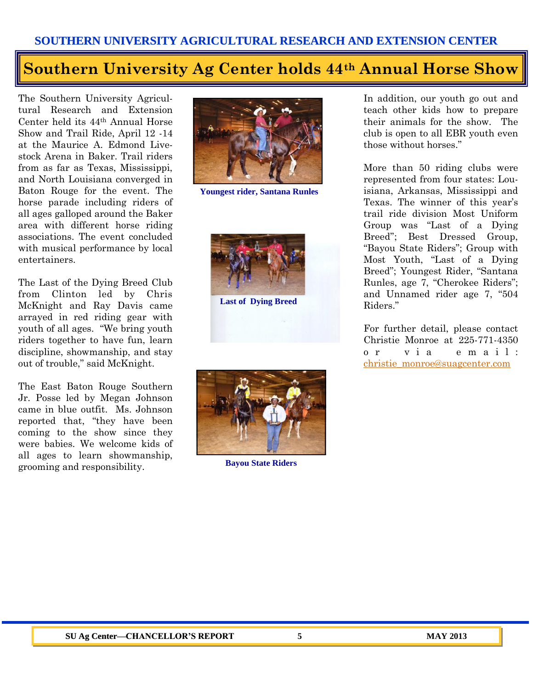#### **Southern University Ag Center holds 44th Annual Horse Show**

The Southern University Agricultural Research and Extension Center held its 44th Annual Horse Show and Trail Ride, April 12 -14 at the Maurice A. Edmond Livestock Arena in Baker. Trail riders from as far as Texas, Mississippi, and North Louisiana converged in Baton Rouge for the event. The horse parade including riders of all ages galloped around the Baker area with different horse riding associations. The event concluded with musical performance by local entertainers.

The Last of the Dying Breed Club from Clinton led by Chris McKnight and Ray Davis came arrayed in red riding gear with youth of all ages. "We bring youth riders together to have fun, learn discipline, showmanship, and stay out of trouble," said McKnight.

The East Baton Rouge Southern Jr. Posse led by Megan Johnson came in blue outfit. Ms. Johnson reported that, "they have been coming to the show since they were babies. We welcome kids of all ages to learn showmanship, grooming and responsibility.



**Youngest rider, Santana Runles**



**Last of Dying Breed**



**Bayou State Riders**

In addition, our youth go out and teach other kids how to prepare their animals for the show. The club is open to all EBR youth even those without horses."

More than 50 riding clubs were represented from four states: Louisiana, Arkansas, Mississippi and Texas. The winner of this year's trail ride division Most Uniform Group was "Last of a Dying Breed"; Best Dressed Group, "Bayou State Riders"; Group with Most Youth, "Last of a Dying Breed"; Youngest Rider, "Santana Runles, age 7, "Cherokee Riders"; and Unnamed rider age 7, "504 Riders."

For further detail, please contact Christie Monroe at 225-771-4350 o r v i a e m a i l : [christie\\_monroe@suagcenter.com](mailto:christie_monroe@suagcenter.com)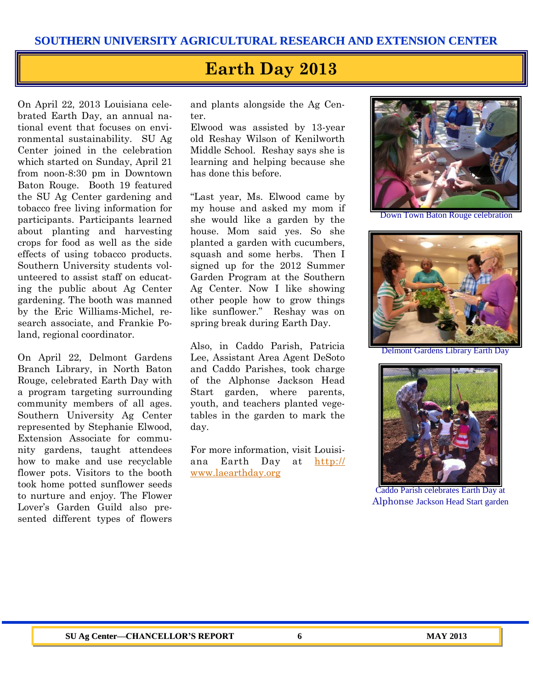## **Earth Day 2013**

On April 22, 2013 Louisiana celebrated Earth Day, an annual national event that focuses on environmental sustainability. SU Ag Center joined in the celebration which started on Sunday, April 21 from noon-8:30 pm in Downtown Baton Rouge. Booth 19 featured the SU Ag Center gardening and tobacco free living information for participants. Participants learned about planting and harvesting crops for food as well as the side effects of using tobacco products. Southern University students volunteered to assist staff on educating the public about Ag Center gardening. The booth was manned by the Eric Williams-Michel, research associate, and Frankie Poland, regional coordinator.

On April 22, Delmont Gardens Branch Library, in North Baton Rouge, celebrated Earth Day with a program targeting surrounding community members of all ages. Southern University Ag Center represented by Stephanie Elwood, Extension Associate for community gardens, taught attendees how to make and use recyclable flower pots. Visitors to the booth took home potted sunflower seeds to nurture and enjoy. The Flower Lover's Garden Guild also presented different types of flowers

and plants alongside the Ag Center.

Elwood was assisted by 13-year old Reshay Wilson of Kenilworth Middle School. Reshay says she is learning and helping because she has done this before.

"Last year, Ms. Elwood came by my house and asked my mom if she would like a garden by the house. Mom said yes. So she planted a garden with cucumbers, squash and some herbs. Then I signed up for the 2012 Summer Garden Program at the Southern Ag Center. Now I like showing other people how to grow things like sunflower." Reshay was on spring break during Earth Day.

Also, in Caddo Parish, Patricia Lee, Assistant Area Agent DeSoto and Caddo Parishes, took charge of the Alphonse Jackson Head Start garden, where parents, youth, and teachers planted vegetables in the garden to mark the day.

For more information, visit Louisiana Earth Day at [http://](http://www.laearthday.org) [www.laearthday.org](http://www.laearthday.org)



Down Town Baton Rouge celebration



Delmont Gardens Library Earth Day



Caddo Parish celebrates Earth Day at Alphonse Jackson Head Start garden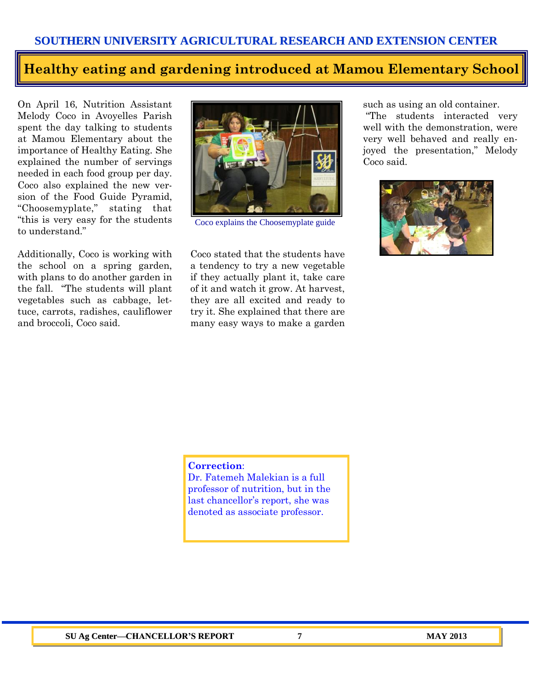#### **Healthy eating and gardening introduced at Mamou Elementary School**

On April 16, Nutrition Assistant Melody Coco in Avoyelles Parish spent the day talking to students at Mamou Elementary about the importance of Healthy Eating. She explained the number of servings needed in each food group per day. Coco also explained the new version of the Food Guide Pyramid, "Choosemyplate," stating that "this is very easy for the students to understand."

Additionally, Coco is working with the school on a spring garden, with plans to do another garden in the fall. "The students will plant vegetables such as cabbage, lettuce, carrots, radishes, cauliflower and broccoli, Coco said.



Coco explains the Choosemyplate guide

Coco stated that the students have a tendency to try a new vegetable if they actually plant it, take care of it and watch it grow. At harvest, they are all excited and ready to try it. She explained that there are many easy ways to make a garden such as using an old container.

"The students interacted very well with the demonstration, were very well behaved and really enjoyed the presentation," Melody Coco said.



#### **Correction**:

Dr. Fatemeh Malekian is a full professor of nutrition, but in the last chancellor's report, she was denoted as associate professor.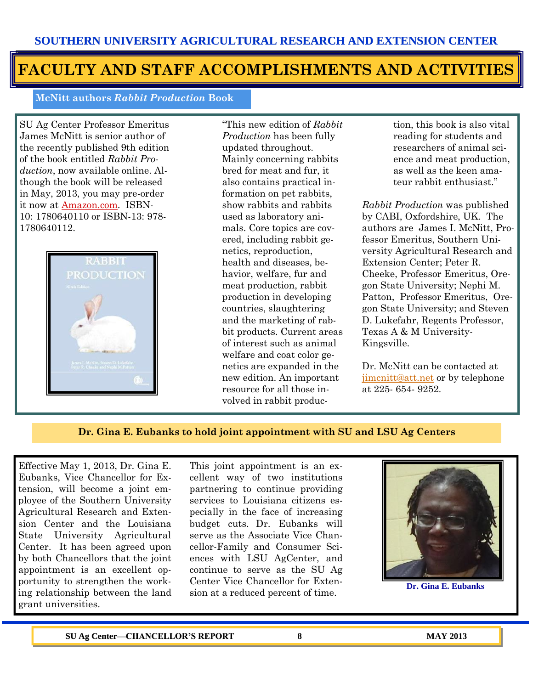### **FACULTY AND STAFF ACCOMPLISHMENTS AND ACTIVITIES**

**McNitt authors** *Rabbit Production* **Book** 

SU Ag Center Professor Emeritus James McNitt is senior author of the recently published 9th edition of the book entitled *Rabbit Production*, now available online. Although the book will be released in May, 2013, you may pre-order it now at **Amazon.com**. ISBN-10: 1780640110 or ISBN-13: 978- 1780640112.



"This new edition of *Rabbit Production* has been fully updated throughout. Mainly concerning rabbits bred for meat and fur, it also contains practical information on pet rabbits, show rabbits and rabbits used as laboratory animals. Core topics are covered, including rabbit genetics, reproduction, health and diseases, behavior, welfare, fur and meat production, rabbit production in developing countries, slaughtering and the marketing of rabbit products. Current areas of interest such as animal welfare and coat color genetics are expanded in the new edition. An important resource for all those involved in rabbit production, this book is also vital reading for students and researchers of animal science and meat production, as well as the keen amateur rabbit enthusiast."

*Rabbit Production* was published by CABI, Oxfordshire, UK. The authors are James I. McNitt, Professor Emeritus, Southern University Agricultural Research and Extension Center; Peter R. Cheeke, Professor Emeritus, Oregon State University; Nephi M. Patton, Professor Emeritus, Oregon State University; and Steven D. Lukefahr, Regents Professor, Texas A & M University-Kingsville.

Dr. McNitt can be contacted at [jimcnitt@att.net](mailto:jimcnitt@att.net) or by telephone at 225- 654- 9252.

#### **Dr. Gina E. Eubanks to hold joint appointment with SU and LSU Ag Centers**

Effective May 1, 2013, Dr. Gina E. Eubanks, Vice Chancellor for Extension, will become a joint employee of the Southern University Agricultural Research and Extension Center and the Louisiana State University Agricultural Center. It has been agreed upon by both Chancellors that the joint appointment is an excellent opportunity to strengthen the working relationship between the land grant universities.

This joint appointment is an excellent way of two institutions partnering to continue providing services to Louisiana citizens especially in the face of increasing budget cuts. Dr. Eubanks will serve as the Associate Vice Chancellor-Family and Consumer Sciences with LSU AgCenter, and continue to serve as the SU Ag Center Vice Chancellor for Extension at a reduced percent of time.



**Dr. Gina E. Eubanks**